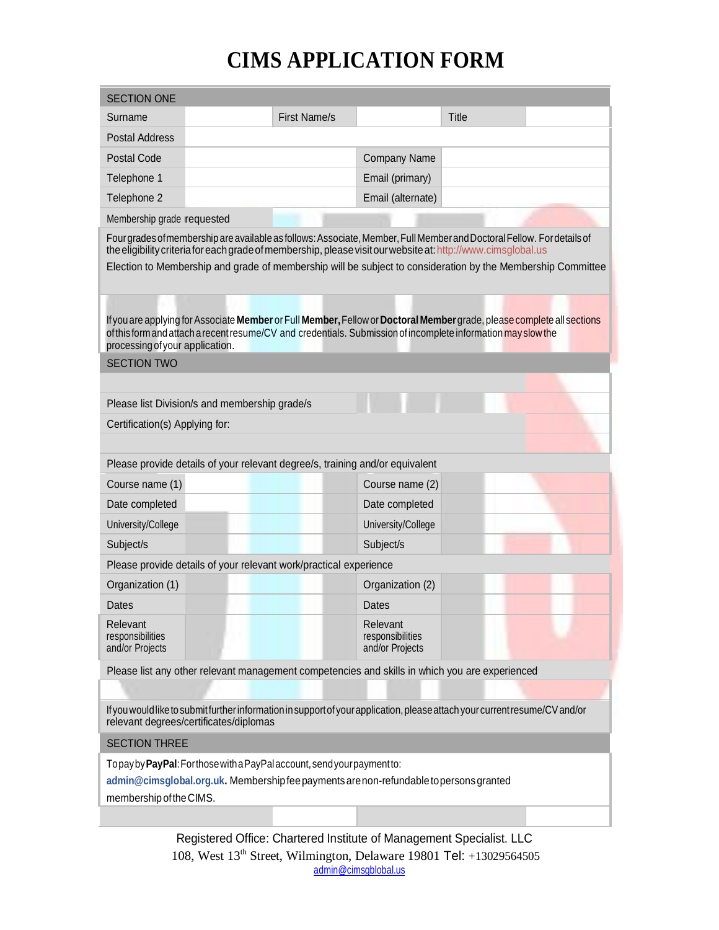## **CIMS APPLICATION FORM**

| <b>SECTION ONE</b>                                                                                                                                                                                                                                                                                                                                    |                     |                                                 |              |  |  |
|-------------------------------------------------------------------------------------------------------------------------------------------------------------------------------------------------------------------------------------------------------------------------------------------------------------------------------------------------------|---------------------|-------------------------------------------------|--------------|--|--|
| Surname                                                                                                                                                                                                                                                                                                                                               | <b>First Name/s</b> |                                                 | <b>Title</b> |  |  |
| Postal Address                                                                                                                                                                                                                                                                                                                                        |                     |                                                 |              |  |  |
| <b>Postal Code</b>                                                                                                                                                                                                                                                                                                                                    |                     | <b>Company Name</b>                             |              |  |  |
| Telephone 1                                                                                                                                                                                                                                                                                                                                           |                     | Email (primary)                                 |              |  |  |
| Telephone 2                                                                                                                                                                                                                                                                                                                                           |                     | Email (alternate)                               |              |  |  |
| Membership grade requested                                                                                                                                                                                                                                                                                                                            |                     |                                                 |              |  |  |
| Four grades of membership are available as follows: Associate, Member, Full Member and Doctoral Fellow. For details of<br>the eligibility criteria for each grade of membership, please visit our website at: http://www.cimsglobal.us<br>Election to Membership and grade of membership will be subject to consideration by the Membership Committee |                     |                                                 |              |  |  |
| If you are applying for Associate Member or Full Member, Fellow or Doctoral Member grade, please complete all sections<br>of this form and attach a recent resume/CV and credentials. Submission of incomplete information may slow the<br>processing of your application.                                                                            |                     |                                                 |              |  |  |
| <b>SECTION TWO</b>                                                                                                                                                                                                                                                                                                                                    |                     |                                                 |              |  |  |
|                                                                                                                                                                                                                                                                                                                                                       |                     |                                                 |              |  |  |
| Please list Division/s and membership grade/s                                                                                                                                                                                                                                                                                                         |                     |                                                 |              |  |  |
| Certification(s) Applying for:                                                                                                                                                                                                                                                                                                                        |                     |                                                 |              |  |  |
|                                                                                                                                                                                                                                                                                                                                                       |                     |                                                 |              |  |  |
| Please provide details of your relevant degree/s, training and/or equivalent                                                                                                                                                                                                                                                                          |                     |                                                 |              |  |  |
| Course name (1)                                                                                                                                                                                                                                                                                                                                       |                     | Course name (2)                                 |              |  |  |
| Date completed                                                                                                                                                                                                                                                                                                                                        |                     | Date completed                                  |              |  |  |
| University/College                                                                                                                                                                                                                                                                                                                                    |                     | University/College                              |              |  |  |
| Subject/s                                                                                                                                                                                                                                                                                                                                             |                     | Subject/s                                       |              |  |  |
| Please provide details of your relevant work/practical experience                                                                                                                                                                                                                                                                                     |                     |                                                 |              |  |  |
| Organization (1)                                                                                                                                                                                                                                                                                                                                      |                     | Organization (2)                                |              |  |  |
| Dates                                                                                                                                                                                                                                                                                                                                                 |                     | Dates                                           |              |  |  |
| Relevant<br>responsibilities<br>and/or Projects                                                                                                                                                                                                                                                                                                       |                     | Relevant<br>responsibilities<br>and/or Projects |              |  |  |
| Please list any other relevant management competencies and skills in which you are experienced                                                                                                                                                                                                                                                        |                     |                                                 |              |  |  |
|                                                                                                                                                                                                                                                                                                                                                       |                     |                                                 |              |  |  |
| If you would like to submit further information in support of your application, please attach your current resume/CV and/or<br>relevant degrees/certificates/diplomas                                                                                                                                                                                 |                     |                                                 |              |  |  |
| <b>SECTION THREE</b>                                                                                                                                                                                                                                                                                                                                  |                     |                                                 |              |  |  |
| Topay by Pay Pal: Forthose with a Pay Palaccount, send your payment to:                                                                                                                                                                                                                                                                               |                     |                                                 |              |  |  |
| admin@cimsglobal.org.uk. Membership fee payments are non-refundable to persons granted                                                                                                                                                                                                                                                                |                     |                                                 |              |  |  |
| membership of the CIMS.                                                                                                                                                                                                                                                                                                                               |                     |                                                 |              |  |  |
|                                                                                                                                                                                                                                                                                                                                                       |                     |                                                 |              |  |  |

Registered Office: Chartered Institute of Management Specialist. LLC 108, West 13<sup>th</sup> Street, Wilmington, Delaware 19801 Tel: +13029564505 admin@cimsgblobal.us